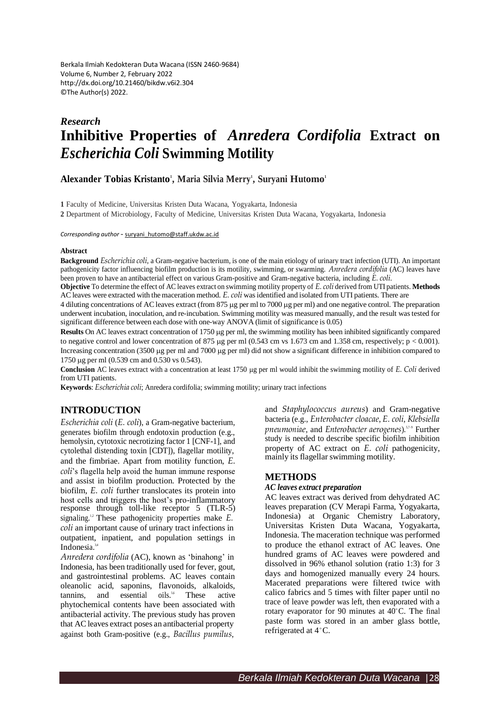Berkala Ilmiah Kedokteran Duta Wacana (ISSN 2460-9684) Volume 6, Number 2, February 2022 <http://dx.doi.org/10.21460/bikdw.v6i2.304> ©The Author(s) 2022.

# *Research* **Inhibitive Properties of** *Anredera Cordifolia* **Extract on** *Escherichia Coli* **Swimming Motility**

**Alexander Tobias Kristanto 1 , Maria Silvia Merry 1 , Suryani Hutomo 1**

**1** Faculty of Medicine, Universitas Kristen Duta Wacana, Yogyakarta, Indonesia

**2** Department of Microbiology, Faculty of Medicine, Universitas Kristen Duta Wacana, Yogyakarta, Indonesia

*Corresponding author* - [suryani\\_hutomo@staff.ukdw.ac.id](mailto:suryani_hutomo@staff.ukdw.ac.id)

#### **Abstract**

**Background** *Escherichia coli*, a Gram-negative bacterium, is one of the main etiology of urinary tract infection (UTI). An important pathogenicity factor influencing biofilm production is its motility, swimming, or swarming. *Anredera cordifolia* (AC) leaves have been proven to have an antibacterial effect on various Gram-positive and Gram-negative bacteria, including *E. coli*.

**Objective** To determine the effect of AC leaves extract on swimming motility property of *E. coli* derived from UTI patients. **Methods** AC leaves were extracted with the maceration method. *E. coli* wasidentified and isolated from UTI patients. There are

4 diluting concentrations of AC leaves extract (from 875 g per ml to 7000 g per ml) and one negative control. The preparation underwent incubation, inoculation, and re-incubation. Swimming motility was measured manually, and the result wastested for significant difference between each dose with one-way ANOVA (limit of significance is 0.05)

Results On AC leaves extract concentration of 1750 µg per ml, the swimming motility has been inhibited significantly compared to negative control and lower concentration of 875  $\mu$ g per ml (0.543 cm vs 1.673 cm and 1.358 cm, respectively; p < 0.001). Increasing concentration (3500 µg per ml and 7000 µg per ml) did not show a significant difference in inhibition compared to 1750 μg per ml (0.539 cm and 0.530 vs 0.543).

Conclusion AC leaves extract with a concentration at least 1750 µg per ml would inhibit the swimming motility of *E*. Coli derived from UTI patients.

**Keywords**: *Escherichia coli*; Anredera cordifolia; swimming motility; urinary tract infections

# **INTRODUCTION**

*Escherichia coli* (*E. coli*), a Gram-negative bacterium, generates biofilm through endotoxin production (e.g., hemolysin, cytotoxic necrotizing factor 1 [CNF-1], and cytolethal distending toxin [CDT]), flagellar motility, and the fimbriae. Apart from motility function, *E. coli*'s flagella help avoid the human immune response and assist in biofilm production. Protected by the biofilm, *E. coli* further translocates its protein into host cells and triggers the host's pro-inflammatory response through toll-like receptor  $5$  (TLR- $5$ ) signaling.<sup>12</sup> These pathogenicity properties make *E*. *coli* an important cause of urinary tract infections in outpatient, inpatient, and population settings in Indonesia. 3,4

*Anredera cordifolia* (AC), known as 'binahong' in Indonesia, has been traditionally used for fever, gout, and gastrointestinal problems. AC leaves contain oleanolic acid, saponins, flavonoids, alkaloids, tannins, and essential oils. These active phytochemical contents have been associated with antibacterial activity. The previous study has proven that ACleaves extract poses an antibacterial property against both Gram-positive (e.g., *Bacillus pumilus*,

and *Staphylococcus aureus*) and Gram-negative bacteria (e.g., *Enterobacter cloacae*, *E. coli*, *Klebsiella pneumoniae*, and *Enterobacter aerogenes*). 5,7–9 Further study is needed to describe specific biofilm inhibition property of AC extract on *E. coli* pathogenicity, mainly its flagellar swimming motility.

## **METHODS**

#### *AC leaves extract preparation*

AC leaves extract was derived from dehydrated AC leaves preparation (CV Merapi Farma, Yogyakarta, Indonesia) at Organic Chemistry Laboratory, Universitas Kristen Duta Wacana, Yogyakarta, Indonesia. The maceration technique was performed to produce the ethanol extract of AC leaves. One hundred grams of AC leaves were powdered and dissolved in 96% ethanol solution (ratio 1:3) for 3 days and homogenized manually every 24 hours. Macerated preparations were filtered twice with calico fabrics and 5 times with filter paper until no trace of leave powder was left, then evaporated with a rotary evaporator for 90 minutes at  $40^{\circ}$ C. The final paste form was stored in an amber glass bottle, refrigerated at 4°C.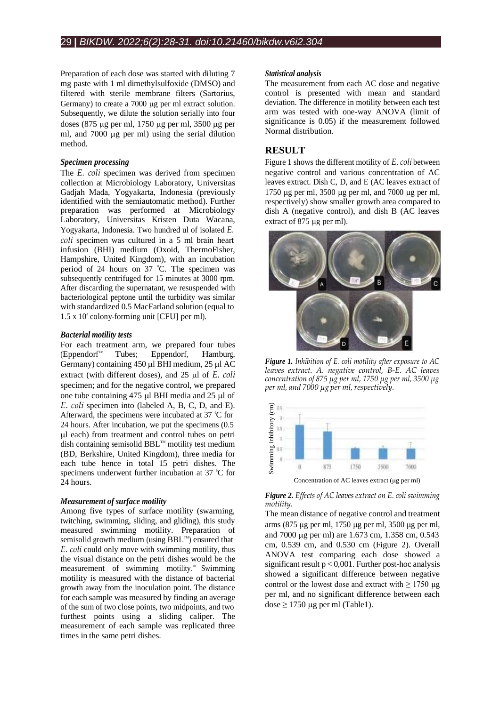Preparation of each dose was started with diluting 7 mg paste with 1 ml dimethylsulfoxide (DMSO) and filtered with sterile membrane filters (Sartorius, Germany) to create a 7000 ug per ml extract solution. Subsequently, we dilute the solution serially into four doses (875 μg per ml, 1750 μg per ml, 3500 μg per ml, and 7000 ug per ml) using the serial dilution method.

# *Specimen processing*

The *E. coli* specimen was derived from specimen collection at Microbiology Laboratory, Universitas Gadjah Mada, Yogyakarta, Indonesia (previously identified with the semiautomatic method). Further preparation was performed at Microbiology Laboratory, Universitas Kristen Duta Wacana, Yogyakarta, Indonesia. Two hundred ul of isolated *E. coli* specimen was cultured in a 5 ml brain heart infusion (BHI) medium (Oxoid, ThermoFisher, Hampshire, United Kingdom), with an incubation period of 24 hours on 37 °C. The specimen was subsequently centrifuged for 15 minutes at 3000 rpm. After discarding the supernatant, we resuspended with bacteriological peptone until the turbidity was similar with standardized 0.5 MacFarland solution (equal to 1.5 x 10 8 colony-forming unit [CFU] per ml).

## *Bacterial motility tests*

For each treatment arm, we prepared four tubes (Eppendorf Tubes; Eppendorf, Hamburg, Germany) containing  $450 \mu$ l BHI medium,  $25 \mu$ l AC extract (with different doses), and 25 µl of *E. coli* specimen; and for the negative control, we prepared one tube containing 475 ul BHI media and 25 ul of *E. coli* specimen into (labeled A, B, C, D, and E). Afterward, the specimens were incubated at 37 °C for 24 hours. After incubation, we put the specimens (0.5 l each) from treatment and control tubes on petri dish containing semisolid BBL<sup>™</sup> motility test medium (BD, Berkshire, United Kingdom), three media for each tube hence in total 15 petri dishes. The specimens underwent further incubation at 37 °C for 24 hours.

# *Measurement of surface motility*

Among five types of surface motility (swarming, twitching, swimming, sliding, and gliding), this study measured swimming motility. Preparation of semisolid growth medium (using  $BBL^m$ ) ensured that *E. coli* could only move with swimming motility, thus the visual distance on the petri dishes would be the measurement of swimming motility.<sup>10</sup> Swimming motility is measured with the distance of bacterial growth away from the inoculation point. The distance for each sample was measured by finding an average of the sum of two close points, two midpoints, and two furthest points using a sliding caliper. The measurement of each sample was replicated three times in the same petri dishes.

#### *Statistical analysis*

The measurement from each AC dose and negative control is presented with mean and standard deviation. The difference in motility between each test arm was tested with one-way ANOVA (limit of significance is 0.05) if the measurement followed Normal distribution.

# **RESULT**

Figure 1 shows the different motility of *E. coli* between negative control and various concentration of AC leaves extract. Dish C, D, and E (AC leaves extract of 1750  $\mu$ g per ml, 3500  $\mu$ g per ml, and 7000  $\mu$ g per ml, respectively) show smaller growth area compared to dish A (negative control), and dish B (AC leaves extract of  $875$  ug per ml).



*Figure 1. Inhibition of E. coli motility after exposure to AC leaves extract. A. negative control, B-E. AC leaves concentration of 875 µg per ml, 1750 µg per ml, 3500 µg per ml, and 7000 µg per ml,respectively.*



*Figure 2. Effects of AC leaves extract on E. coli swimming motility.*

The mean distance of negative control and treatment arms (875 µg per ml, 1750 µg per ml, 3500 µg per ml, and 7000 µg per ml) are 1.673 cm, 1.358 cm, 0.543 cm, 0.539 cm, and 0.530 cm (Figure 2). Overall ANOVA test comparing each dose showed a significant result  $p < 0.001$ . Further post-hoc analysis showed a significant difference between negative control or the lowest dose and extract with  $\geq$  1750 µg per ml, and no significant difference between each dose 2 1750<br>
Example 1<br>
Example 1<br>
Concentration of AC leaves extract motility.<br>
The mean distance of negative comms (875 µg per ml, 1750 µg per and 7000 µg per ml) are 1.673 cm, 0.539 cm, and 0.530 cm<br>
ANOVA test compari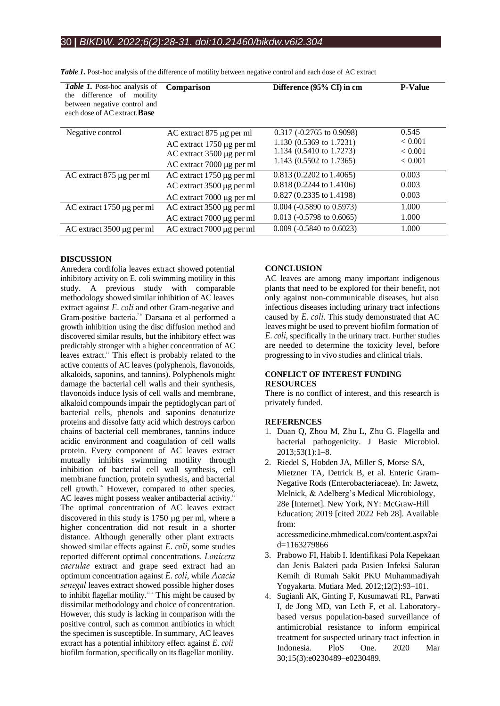| <b>Table 1.</b> Post-hoc analysis of<br>difference of motility<br>the<br>between negative control and<br>each dose of AC extract. <b>Base</b> | Comparison                       | Difference (95% CI) in cm          | <b>P-Value</b> |
|-----------------------------------------------------------------------------------------------------------------------------------------------|----------------------------------|------------------------------------|----------------|
| Negative control                                                                                                                              | AC extract 875 µg per ml         | $0.317$ (-0.2765 to 0.9098)        | 0.545          |
|                                                                                                                                               | AC extract 1750 µg per ml        | 1.130 (0.5369 to 1.7231)           | ${}< 0.001$    |
|                                                                                                                                               | AC extract 3500 µg per ml        | 1.134 (0.5410 to 1.7273)           | < 0.001        |
|                                                                                                                                               | AC extract 7000 µg per ml        | 1.143 (0.5502 to 1.7365)           | ${}< 0.001$    |
| AC extract 875 µg per ml                                                                                                                      | AC extract 1750 µg per ml        | $0.813(0.2202 \text{ to } 1.4065)$ | 0.003          |
|                                                                                                                                               | AC extract 3500 µg per ml        | 0.818 (0.2244 to 1.4106)           | 0.003          |
|                                                                                                                                               | AC extract 7000 µg per ml        | $0.827(0.2335 \text{ to } 1.4198)$ | 0.003          |
| AC extract 1750 µg per ml                                                                                                                     | AC extract 3500 µg per ml        | $0.004$ (-0.5890 to 0.5973)        | 1.000          |
|                                                                                                                                               | AC extract 7000 µg per ml        | $0.013$ (-0.5798 to 0.6065)        | 1.000          |
| AC extract 3500 µg per ml                                                                                                                     | $AC$ extract 7000 $\mu$ g per ml | $0.009$ (-0.5840 to 0.6023)        | 1.000          |

*Table 1.* Post-hoc analysis of the difference of motility between negative control and each dose of AC extract

## **DISCUSSION**

Anredera cordifolia leaves extract showed potential inhibitory activity on E. coli swimming motility in this study. A previous study with comparable methodology showed similar inhibition of AC leaves extract against *E. coli* and other Gram-negative and Gram-positive bacteria.<sup>7-9</sup> Darsana et al performed a growth inhibition using the disc diffusion method and discovered similar results, but the inhibitory effect was predictably stronger with a higher concentration of AC leaves extract." This effect is probably related to the active contents of AC leaves (polyphenols, flavonoids, alkaloids, saponins, and tannins). Polyphenols might damage the bacterial cell walls and their synthesis, flavonoids induce lysis of cell walls and membrane, alkaloid compounds impair the peptidoglycan part of bacterial cells, phenols and saponins denaturize proteins and dissolve fatty acid which destroys carbon chains of bacterial cell membranes, tannins induce acidic environment and coagulation of cell walls protein. Every component of AC leaves extract mutually inhibits swimming motility through inhibition of bacterial cell wall synthesis, cell membrane function, protein synthesis, and bacterial cell growth.<sup>5,6</sup> However, compared to other species, AC leaves might possess weaker antibacterial activity.<sup>12</sup> The optimal concentration of AC leaves extract discovered in this study is  $1750 \mu$ g per ml, where a higher concentration did not result in a shorter distance. Although generally other plant extracts showed similar effects against *E. coli*, some studies reported different optimal concentrations. *Lonicera caerulae* extract and grape seed extract had an optimum concentration against *E. coli*, while *Acacia senegal* leaves extract showed possible higher doses to inhibit flagellar motility. 13,14 This might be caused by dissimilar methodology and choice of concentration. However, this study is lacking in comparison with the positive control, such as common antibiotics in which the specimen is susceptible. In summary, AC leaves extract has a potential inhibitory effect against *E. coli* biofilm formation, specifically on its flagellar motility.

## **CONCLUSION**

AC leaves are among many important indigenous plants that need to be explored for their benefit, not only against non-communicable diseases, but also infectious diseases including urinary tract infections caused by *E. coli*. This study demonstrated that AC leaves might be used to prevent biofilm formation of *E. coli*, specifically in the urinary tract. Further studies are needed to determine the toxicity level, before progressing to in vivo studies and clinical trials.

# **CONFLICT OF INTEREST FUNDING RESOURCES**

There is no conflict of interest, and this research is privately funded.

## **REFERENCES**

- 1. Duan Q, Zhou M, Zhu L, Zhu G. Flagella and bacterial pathogenicity. J Basic Microbiol. 2013;53(1):1–8.
- 2. Riedel S, Hobden JA, Miller S, Morse SA, Mietzner TA, Detrick B, et al. Enteric Gram-Negative Rods (Enterobacteriaceae). In: Jawetz, Melnick, & Adelberg's Medical Microbiology, 28e [Internet]. New York, NY: McGraw-Hill Education; 2019 [cited 2022 Feb 28]. Available from:

accessmedicine.mhmedical.com/content.aspx?ai d=1163279866

- 3. Prabowo FI, Habib I. Identifikasi Pola Kepekaan dan Jenis Bakteri pada Pasien Infeksi Saluran Kemih di Rumah Sakit PKU Muhammadiyah Yogyakarta. Mutiara Med. 2012;12(2):93–101.
- 4. Sugianli AK, Ginting F, Kusumawati RL, Parwati I, de Jong MD, van Leth F, et al. Laboratorybased versus population-based surveillance of antimicrobial resistance to inform empirical treatment for suspected urinary tract infection in Indonesia. PloS One. 2020 Mar 30;15(3):e0230489–e0230489.